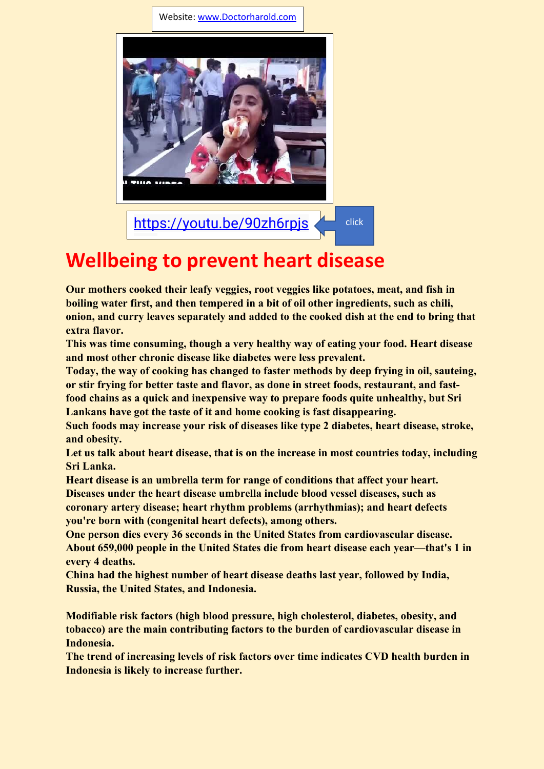Website[: www.Doctorharold.com](http://www.doctorharold.com/)



## **Wellbe[ing](https://youtu.be/90zh6rpjswM) to prevent heart disease**

**Our mothers cooked their leafy veggies, root veggies like potatoes, meat, and fish in boiling water first, and then tempered in a bit of oil other ingredients, such as chili, onion, and curry leaves separately and added to the cooked dish at the end to bring that extra flavor.**

**This was time consuming, though a very healthy way of eating your food. Heart disease and most other chronic disease like diabetes were less prevalent.**

**Today, the way of cooking has changed to faster methods by deep frying in oil, sauteing, or stir frying for better taste and flavor, as done in street foods, restaurant, and fastfood chains as a quick and inexpensive way to prepare foods quite unhealthy, but Sri Lankans have got the taste of it and home cooking is fast disappearing.**

**Such foods may increase your risk of diseases like type 2 diabetes, heart disease, stroke, and obesity.**

**Let us talk about heart disease, that is on the increase in most countries today, including Sri Lanka.**

**Heart disease is an umbrella term for range of conditions that affect your heart. Diseases under the heart disease umbrella include blood vessel diseases, such as coronary artery disease; heart rhythm problems (arrhythmias); and heart defects you're born with (congenital heart defects), among others.**

**One person dies every 36 seconds in the United States from cardiovascular disease. About 659,000 people in the United States die from heart disease each year—that's 1 in every 4 deaths.**

**China had the highest number of heart disease deaths last year, followed by India, Russia, the United States, and Indonesia.**

**Modifiable risk factors (high blood pressure, high cholesterol, diabetes, obesity, and tobacco) are the main contributing factors to the burden of cardiovascular disease in Indonesia.** 

**The trend of increasing levels of risk factors over time indicates CVD health burden in Indonesia is likely to increase further.**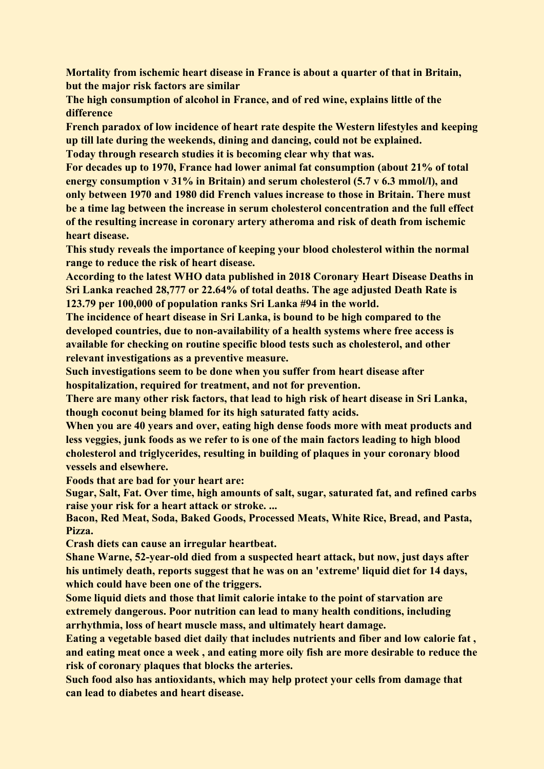**Mortality from ischemic heart disease in France is about a quarter of that in Britain, but the major risk factors are similar**

**The high consumption of alcohol in France, and of red wine, explains little of the difference**

**French paradox of low incidence of heart rate despite the Western lifestyles and keeping up till late during the weekends, dining and dancing, could not be explained.**

**Today through research studies it is becoming clear why that was.**

**For decades up to 1970, France had lower animal fat consumption (about 21% of total energy consumption v 31% in Britain) and serum cholesterol (5.7 v 6.3 mmol/l), and only between 1970 and 1980 did French values increase to those in Britain. There must be a time lag between the increase in serum cholesterol concentration and the full effect of the resulting increase in coronary artery atheroma and risk of death from ischemic heart disease.**

**This study reveals the importance of keeping your blood cholesterol within the normal range to reduce the risk of heart disease.**

**According to the latest WHO data published in 2018 Coronary Heart Disease Deaths in Sri Lanka reached 28,777 or 22.64% of total deaths. The age adjusted Death Rate is 123.79 per 100,000 of population ranks Sri Lanka #94 in the world.**

**The incidence of heart disease in Sri Lanka, is bound to be high compared to the developed countries, due to non-availability of a health systems where free access is available for checking on routine specific blood tests such as cholesterol, and other relevant investigations as a preventive measure.**

**Such investigations seem to be done when you suffer from heart disease after hospitalization, required for treatment, and not for prevention.**

**There are many other risk factors, that lead to high risk of heart disease in Sri Lanka, though coconut being blamed for its high saturated fatty acids.**

**When you are 40 years and over, eating high dense foods more with meat products and less veggies, junk foods as we refer to is one of the main factors leading to high blood cholesterol and triglycerides, resulting in building of plaques in your coronary blood vessels and elsewhere.**

**Foods that are bad for your heart are:**

**Sugar, Salt, Fat. Over time, high amounts of salt, sugar, saturated fat, and refined carbs raise your risk for a heart attack or stroke. ...**

**Bacon, Red Meat, Soda, Baked Goods, Processed Meats, White Rice, Bread, and Pasta, Pizza.**

**Crash diets can cause an irregular heartbeat.**

**Shane Warne, 52-year-old died from a suspected heart attack, but now, just days after his untimely death, reports suggest that he was on an 'extreme' liquid diet for 14 days, which could have been one of the triggers.**

**Some liquid diets and those that limit calorie intake to the point of starvation are extremely dangerous. Poor nutrition can lead to many health conditions, including arrhythmia, loss of heart muscle mass, and ultimately heart damage.**

**Eating a vegetable based diet daily that includes nutrients and fiber and low calorie fat , and eating meat once a week , and eating more oily fish are more desirable to reduce the risk of coronary plaques that blocks the arteries.**

**Such food also has antioxidants, which may help protect your cells from damage that can lead to diabetes and heart disease.**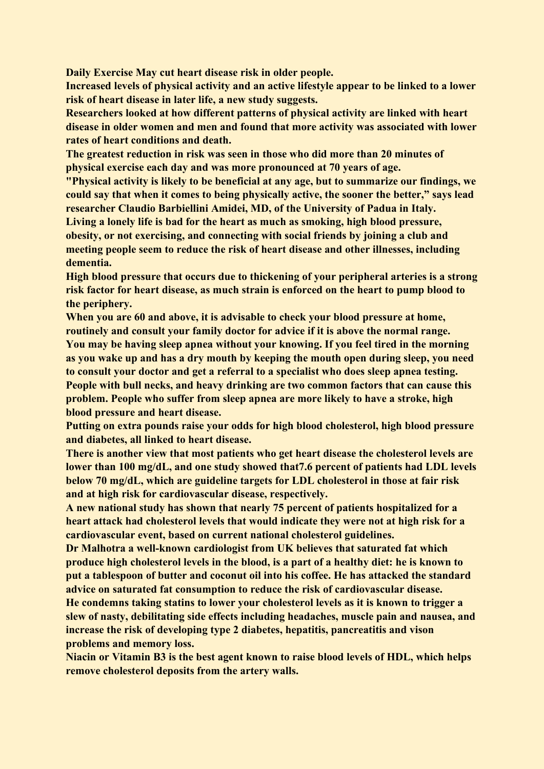**Daily Exercise May cut heart disease risk in older people.**

**Increased levels of physical activity and an active lifestyle appear to be linked to a lower risk of heart disease in later life, a new study suggests.**

**Researchers looked at how different patterns of physical activity are linked with heart disease in older women and men and found that more activity was associated with lower rates of heart conditions and death.**

**The greatest reduction in risk was seen in those who did more than 20 minutes of physical exercise each day and was more pronounced at 70 years of age.**

**"Physical activity is likely to be beneficial at any age, but to summarize our findings, we could say that when it comes to being physically active, the sooner the better," says lead researcher Claudio Barbiellini Amidei, MD, of the University of Padua in Italy. Living a lonely life is bad for the heart as much as smoking, high blood pressure,**

**obesity, or not exercising, and connecting with social friends by joining a club and meeting people seem to reduce the risk of heart disease and other illnesses, including dementia.**

**High blood pressure that occurs due to thickening of your peripheral arteries is a strong risk factor for heart disease, as much strain is enforced on the heart to pump blood to the periphery.**

**When you are 60 and above, it is advisable to check your blood pressure at home, routinely and consult your family doctor for advice if it is above the normal range. You may be having sleep apnea without your knowing. If you feel tired in the morning as you wake up and has a dry mouth by keeping the mouth open during sleep, you need to consult your doctor and get a referral to a specialist who does sleep apnea testing. People with bull necks, and heavy drinking are two common factors that can cause this problem. People who suffer from sleep apnea are more likely to have a stroke, high blood pressure and heart disease.**

**Putting on extra pounds raise your odds for high blood cholesterol, high blood pressure and diabetes, all linked to heart disease.**

**There is another view that most patients who get heart disease the cholesterol levels are lower than 100 mg/dL, and one study showed that7.6 percent of patients had LDL levels below 70 mg/dL, which are guideline targets for LDL cholesterol in those at fair risk and at high risk for cardiovascular disease, respectively.**

**A new national study has shown that nearly 75 percent of patients hospitalized for a heart attack had cholesterol levels that would indicate they were not at high risk for a cardiovascular event, based on current national cholesterol guidelines.**

**Dr Malhotra a well-known cardiologist from UK believes that saturated fat which produce high cholesterol levels in the blood, is a part of a healthy diet: he is known to put a tablespoon of butter and coconut oil into his coffee. He has attacked the standard advice on saturated fat consumption to reduce the risk of cardiovascular disease. He condemns taking statins to lower your cholesterol levels as it is known to trigger a slew of nasty, debilitating side effects including headaches, muscle pain and nausea, and increase the risk of developing type 2 diabetes, hepatitis, pancreatitis and vison problems and memory loss.**

**Niacin or Vitamin B3 is the best agent known to raise blood levels of HDL, which helps remove cholesterol deposits from the artery walls.**